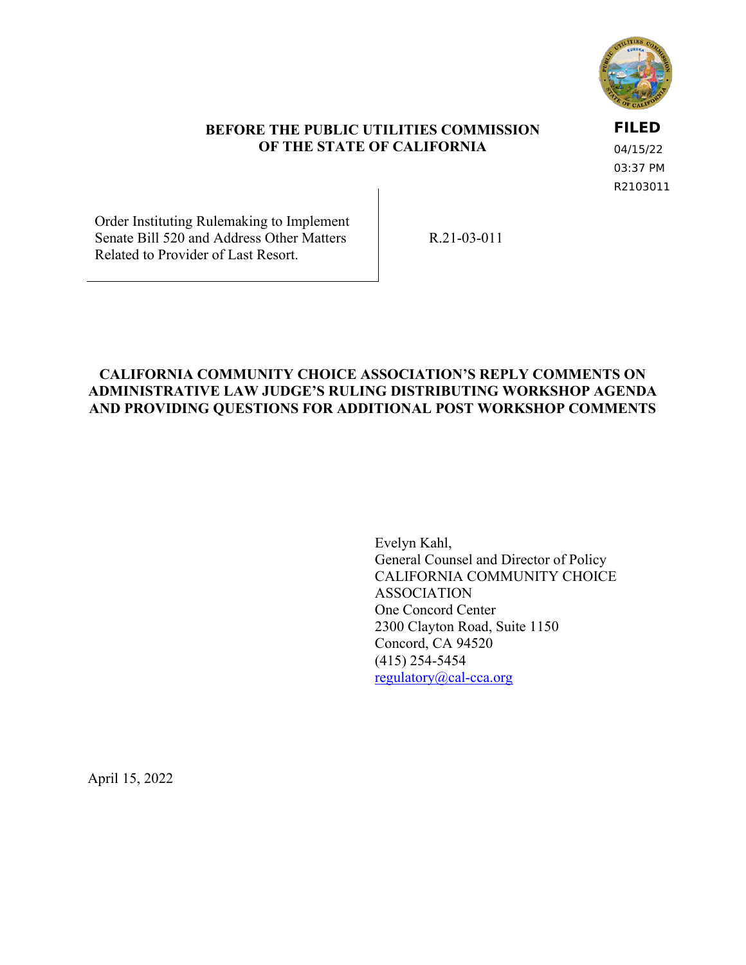

## **BEFORE THE PUBLIC UTILITIES COMMISSION OF THE STATE OF CALIFORNIA**

# **FILED**

04/15/22 03:37 PM R2103011

Order Instituting Rulemaking to Implement Senate Bill 520 and Address Other Matters Related to Provider of Last Resort.

R.21-03-011

## **CALIFORNIA COMMUNITY CHOICE ASSOCIATION'S REPLY COMMENTS ON ADMINISTRATIVE LAW JUDGE'S RULING DISTRIBUTING WORKSHOP AGENDA AND PROVIDING QUESTIONS FOR ADDITIONAL POST WORKSHOP COMMENTS**

Evelyn Kahl, General Counsel and Director of Policy CALIFORNIA COMMUNITY CHOICE ASSOCIATION One Concord Center 2300 Clayton Road, Suite 1150 Concord, CA 94520 (415) 254-5454 [regulatory@cal-cca.org](mailto:regulatory@cal-cca.org)

April 15, 2022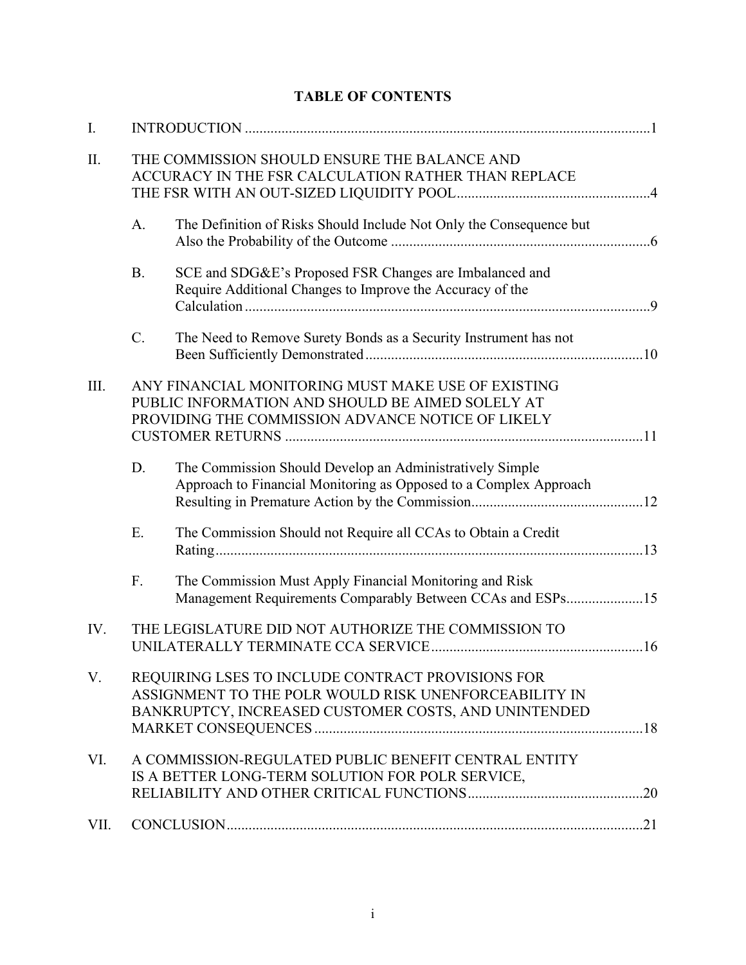|  | <b>TABLE OF CONTENTS</b> |
|--|--------------------------|
|--|--------------------------|

| I.   |                                                                                                                                                                    |                                                                                                                                                             |  |  |  |  |  |  |  |
|------|--------------------------------------------------------------------------------------------------------------------------------------------------------------------|-------------------------------------------------------------------------------------------------------------------------------------------------------------|--|--|--|--|--|--|--|
| II.  |                                                                                                                                                                    | THE COMMISSION SHOULD ENSURE THE BALANCE AND<br>ACCURACY IN THE FSR CALCULATION RATHER THAN REPLACE                                                         |  |  |  |  |  |  |  |
|      | A.                                                                                                                                                                 | The Definition of Risks Should Include Not Only the Consequence but                                                                                         |  |  |  |  |  |  |  |
|      | <b>B.</b>                                                                                                                                                          | SCE and SDG&E's Proposed FSR Changes are Imbalanced and<br>Require Additional Changes to Improve the Accuracy of the                                        |  |  |  |  |  |  |  |
|      | C.                                                                                                                                                                 | The Need to Remove Surety Bonds as a Security Instrument has not                                                                                            |  |  |  |  |  |  |  |
| III. |                                                                                                                                                                    | ANY FINANCIAL MONITORING MUST MAKE USE OF EXISTING<br>PUBLIC INFORMATION AND SHOULD BE AIMED SOLELY AT<br>PROVIDING THE COMMISSION ADVANCE NOTICE OF LIKELY |  |  |  |  |  |  |  |
|      | D.                                                                                                                                                                 | The Commission Should Develop an Administratively Simple<br>Approach to Financial Monitoring as Opposed to a Complex Approach                               |  |  |  |  |  |  |  |
|      | Ε.                                                                                                                                                                 | The Commission Should not Require all CCAs to Obtain a Credit                                                                                               |  |  |  |  |  |  |  |
|      | F.                                                                                                                                                                 | The Commission Must Apply Financial Monitoring and Risk<br>Management Requirements Comparably Between CCAs and ESPs15                                       |  |  |  |  |  |  |  |
| IV.  |                                                                                                                                                                    | THE LEGISLATURE DID NOT AUTHORIZE THE COMMISSION TO                                                                                                         |  |  |  |  |  |  |  |
| V.   | REQUIRING LSES TO INCLUDE CONTRACT PROVISIONS FOR<br>ASSIGNMENT TO THE POLR WOULD RISK UNENFORCEABILITY IN<br>BANKRUPTCY, INCREASED CUSTOMER COSTS, AND UNINTENDED |                                                                                                                                                             |  |  |  |  |  |  |  |
| VI.  | A COMMISSION-REGULATED PUBLIC BENEFIT CENTRAL ENTITY<br>IS A BETTER LONG-TERM SOLUTION FOR POLR SERVICE,                                                           |                                                                                                                                                             |  |  |  |  |  |  |  |
| VII. |                                                                                                                                                                    |                                                                                                                                                             |  |  |  |  |  |  |  |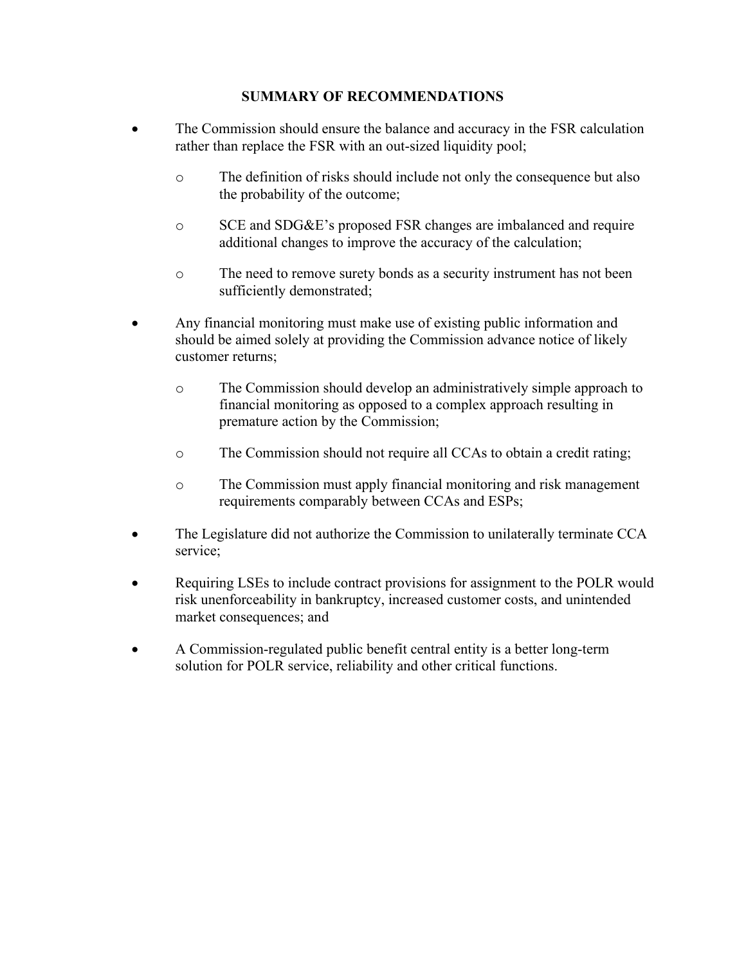# **SUMMARY OF RECOMMENDATIONS**

- The Commission should ensure the balance and accuracy in the FSR calculation rather than replace the FSR with an out-sized liquidity pool;
	- o The definition of risks should include not only the consequence but also the probability of the outcome;
	- o SCE and SDG&E's proposed FSR changes are imbalanced and require additional changes to improve the accuracy of the calculation;
	- o The need to remove surety bonds as a security instrument has not been sufficiently demonstrated;
- Any financial monitoring must make use of existing public information and should be aimed solely at providing the Commission advance notice of likely customer returns;
	- o The Commission should develop an administratively simple approach to financial monitoring as opposed to a complex approach resulting in premature action by the Commission;
	- o The Commission should not require all CCAs to obtain a credit rating;
	- o The Commission must apply financial monitoring and risk management requirements comparably between CCAs and ESPs;
- The Legislature did not authorize the Commission to unilaterally terminate CCA service;
- Requiring LSEs to include contract provisions for assignment to the POLR would risk unenforceability in bankruptcy, increased customer costs, and unintended market consequences; and
- A Commission-regulated public benefit central entity is a better long-term solution for POLR service, reliability and other critical functions.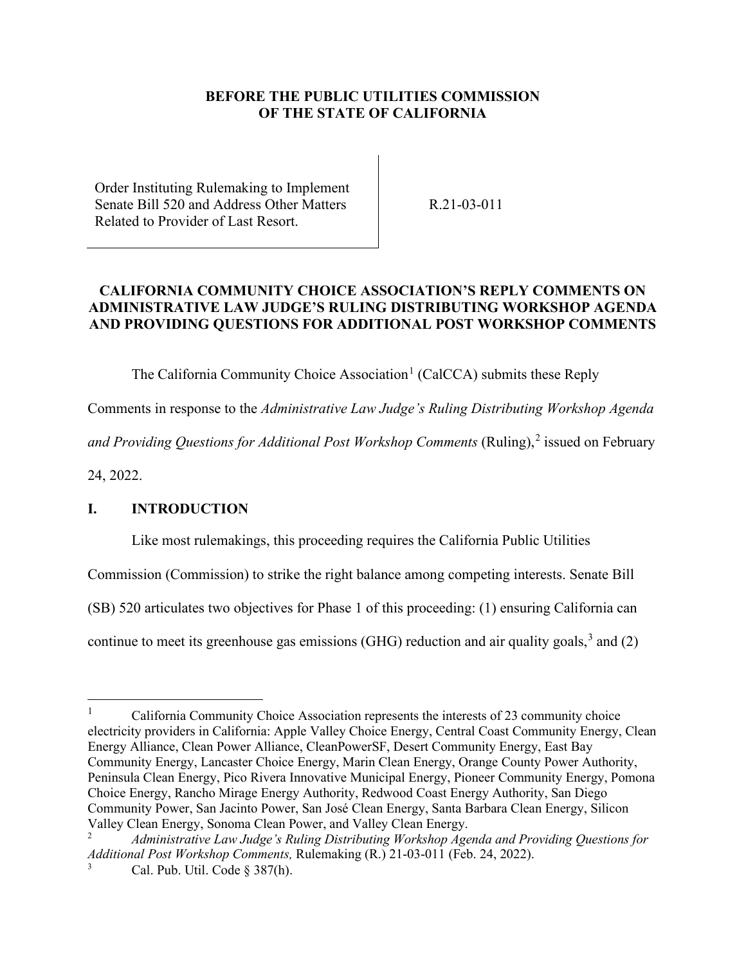## **BEFORE THE PUBLIC UTILITIES COMMISSION OF THE STATE OF CALIFORNIA**

Order Instituting Rulemaking to Implement Senate Bill 520 and Address Other Matters Related to Provider of Last Resort.

R.21-03-011

# **CALIFORNIA COMMUNITY CHOICE ASSOCIATION'S REPLY COMMENTS ON ADMINISTRATIVE LAW JUDGE'S RULING DISTRIBUTING WORKSHOP AGENDA AND PROVIDING QUESTIONS FOR ADDITIONAL POST WORKSHOP COMMENTS**

The California Community Choice Association<sup>[1](#page-3-1)</sup> (CalCCA) submits these Reply

Comments in response to the *Administrative Law Judge's Ruling Distributing Workshop Agenda* 

and Providing Questions for Additional Post Workshop Comments (Ruling),<sup>[2](#page-3-2)</sup> issued on February

24, 2022.

# <span id="page-3-0"></span>**I. INTRODUCTION**

Like most rulemakings, this proceeding requires the California Public Utilities

Commission (Commission) to strike the right balance among competing interests. Senate Bill

(SB) 520 articulates two objectives for Phase 1 of this proceeding: (1) ensuring California can

continue to meet its greenhouse gas emissions (GHG) reduction and air quality goals,  $3$  and (2)

<span id="page-3-1"></span><sup>1</sup> California Community Choice Association represents the interests of 23 community choice electricity providers in California: Apple Valley Choice Energy, Central Coast Community Energy, Clean Energy Alliance, Clean Power Alliance, CleanPowerSF, Desert Community Energy, East Bay Community Energy, Lancaster Choice Energy, Marin Clean Energy, Orange County Power Authority, Peninsula Clean Energy, Pico Rivera Innovative Municipal Energy, Pioneer Community Energy, Pomona Choice Energy, Rancho Mirage Energy Authority, Redwood Coast Energy Authority, San Diego Community Power, San Jacinto Power, San José Clean Energy, Santa Barbara Clean Energy, Silicon Valley Clean Energy, Sonoma Clean Power, and Valley Clean Energy.

<span id="page-3-2"></span><sup>2</sup> *Administrative Law Judge's Ruling Distributing Workshop Agenda and Providing Questions for Additional Post Workshop Comments,* Rulemaking (R.) 21-03-011 (Feb. 24, 2022).

<span id="page-3-3"></span><sup>3</sup> Cal. Pub. Util. Code § 387(h).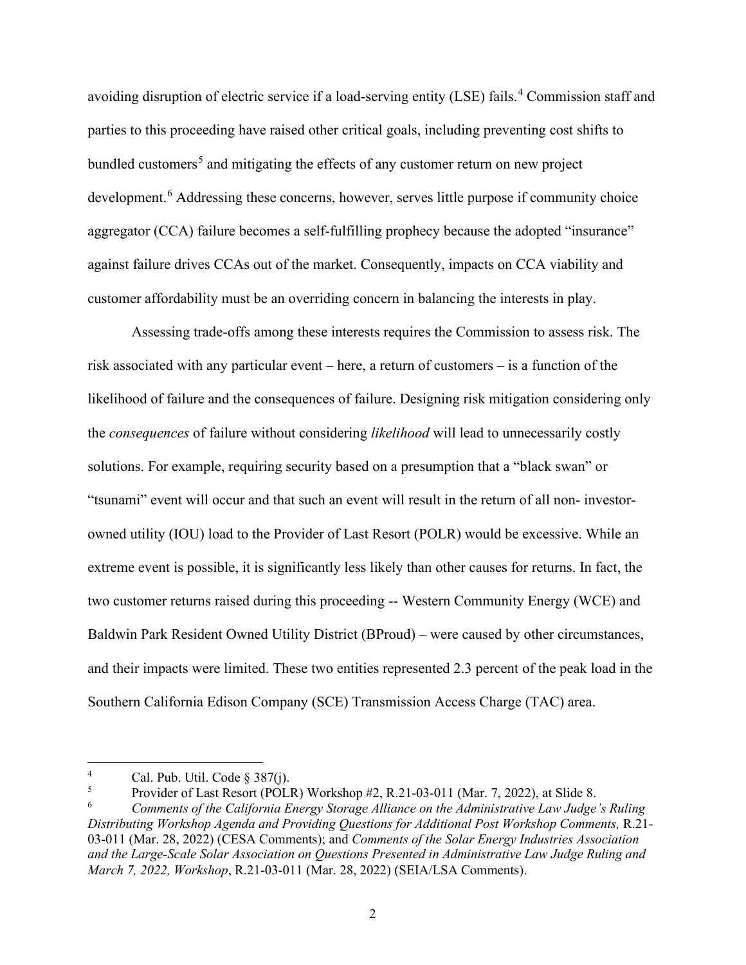avoiding disruption of electric service if a load-serving entity (LSE) fails.<sup>[4](#page-4-0)</sup> Commission staff and parties to this proceeding have raised other critical goals, including preventing cost shifts to bundled customers<sup>[5](#page-4-1)</sup> and mitigating the effects of any customer return on new project development.<sup>[6](#page-4-2)</sup> Addressing these concerns, however, serves little purpose if community choice aggregator (CCA) failure becomes a self-fulfilling prophecy because the adopted "insurance" against failure drives CCAs out of the market. Consequently, impacts on CCA viability and customer affordability must be an overriding concern in balancing the interests in play.

Assessing trade-offs among these interests requires the Commission to assess risk. The risk associated with any particular event – here, a return of customers – is a function of the likelihood of failure and the consequences of failure. Designing risk mitigation considering only the *consequences* of failure without considering *likelihood* will lead to unnecessarily costly solutions. For example, requiring security based on a presumption that a "black swan" or "tsunami" event will occur and that such an event will result in the return of all non- investorowned utility (IOU) load to the Provider of Last Resort (POLR) would be excessive. While an extreme event is possible, it is significantly less likely than other causes for returns. In fact, the two customer returns raised during this proceeding -- Western Community Energy (WCE) and Baldwin Park Resident Owned Utility District (BProud) – were caused by other circumstances, and their impacts were limited. These two entities represented 2.3 percent of the peak load in the Southern California Edison Company (SCE) Transmission Access Charge (TAC) area.

<span id="page-4-0"></span><sup>4</sup> Cal. Pub. Util. Code  $\S 387(i)$ .

<span id="page-4-1"></span><sup>5</sup> Provider of Last Resort (POLR) Workshop #2, R.21-03-011 (Mar. 7, 2022), at Slide 8.

<span id="page-4-2"></span><sup>6</sup> *Comments of the California Energy Storage Alliance on the Administrative Law Judge's Ruling Distributing Workshop Agenda and Providing Questions for Additional Post Workshop Comments,* R.21- 03-011 (Mar. 28, 2022) (CESA Comments); and *Comments of the Solar Energy Industries Association and the Large-Scale Solar Association on Questions Presented in Administrative Law Judge Ruling and March 7, 2022, Workshop*, R.21-03-011 (Mar. 28, 2022) (SEIA/LSA Comments).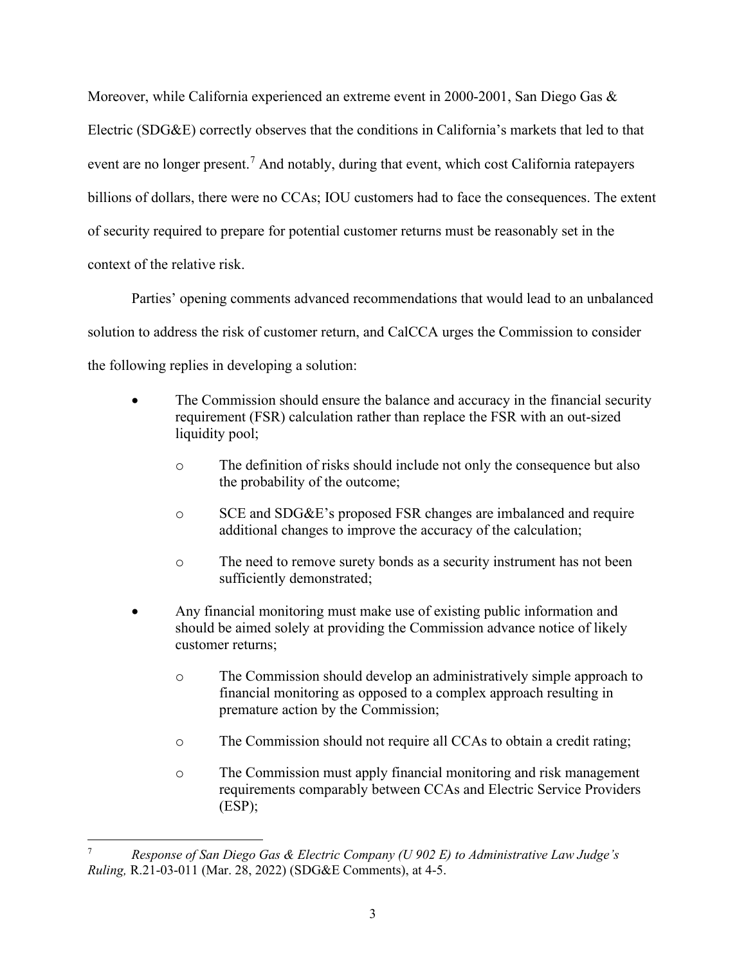Moreover, while California experienced an extreme event in 2000-2001, San Diego Gas & Electric (SDG&E) correctly observes that the conditions in California's markets that led to that event are no longer present.<sup>[7](#page-5-0)</sup> And notably, during that event, which cost California ratepayers billions of dollars, there were no CCAs; IOU customers had to face the consequences. The extent of security required to prepare for potential customer returns must be reasonably set in the context of the relative risk.

Parties' opening comments advanced recommendations that would lead to an unbalanced solution to address the risk of customer return, and CalCCA urges the Commission to consider the following replies in developing a solution:

- The Commission should ensure the balance and accuracy in the financial security requirement (FSR) calculation rather than replace the FSR with an out-sized liquidity pool;
	- o The definition of risks should include not only the consequence but also the probability of the outcome;
	- o SCE and SDG&E's proposed FSR changes are imbalanced and require additional changes to improve the accuracy of the calculation;
	- o The need to remove surety bonds as a security instrument has not been sufficiently demonstrated;
- Any financial monitoring must make use of existing public information and should be aimed solely at providing the Commission advance notice of likely customer returns;
	- o The Commission should develop an administratively simple approach to financial monitoring as opposed to a complex approach resulting in premature action by the Commission;
	- o The Commission should not require all CCAs to obtain a credit rating;
	- o The Commission must apply financial monitoring and risk management requirements comparably between CCAs and Electric Service Providers (ESP);

<span id="page-5-0"></span><sup>7</sup> *Response of San Diego Gas & Electric Company (U 902 E) to Administrative Law Judge's Ruling,* R.21-03-011 (Mar. 28, 2022) (SDG&E Comments), at 4-5.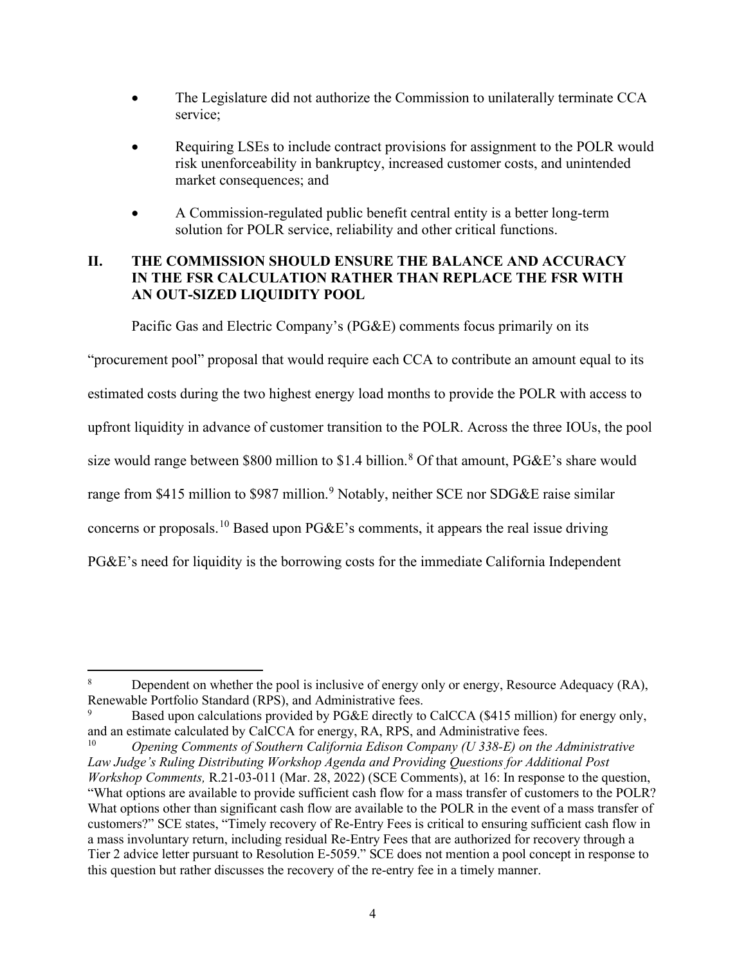- The Legislature did not authorize the Commission to unilaterally terminate CCA service;
- Requiring LSEs to include contract provisions for assignment to the POLR would risk unenforceability in bankruptcy, increased customer costs, and unintended market consequences; and
- A Commission-regulated public benefit central entity is a better long-term solution for POLR service, reliability and other critical functions.

## <span id="page-6-0"></span>**II. THE COMMISSION SHOULD ENSURE THE BALANCE AND ACCURACY IN THE FSR CALCULATION RATHER THAN REPLACE THE FSR WITH AN OUT-SIZED LIQUIDITY POOL**

Pacific Gas and Electric Company's (PG&E) comments focus primarily on its

"procurement pool" proposal that would require each CCA to contribute an amount equal to its estimated costs during the two highest energy load months to provide the POLR with access to upfront liquidity in advance of customer transition to the POLR. Across the three IOUs, the pool size would range between \$[8](#page-6-1)00 million to \$1.4 billion.<sup>8</sup> Of that amount, PG&E's share would range from \$415 million to \$[9](#page-6-2)87 million.<sup>9</sup> Notably, neither SCE nor SDG&E raise similar concerns or proposals.[10](#page-6-3) Based upon PG&E's comments, it appears the real issue driving PG&E's need for liquidity is the borrowing costs for the immediate California Independent

<span id="page-6-1"></span><sup>8</sup> Dependent on whether the pool is inclusive of energy only or energy, Resource Adequacy (RA), Renewable Portfolio Standard (RPS), and Administrative fees.

<span id="page-6-2"></span>Based upon calculations provided by PG&E directly to CalCCA (\$415 million) for energy only, and an estimate calculated by CalCCA for energy, RA, RPS, and Administrative fees.

<span id="page-6-3"></span><sup>10</sup> *Opening Comments of Southern California Edison Company (U 338-E) on the Administrative Law Judge's Ruling Distributing Workshop Agenda and Providing Questions for Additional Post Workshop Comments,* R.21-03-011 (Mar. 28, 2022) (SCE Comments), at 16: In response to the question, "What options are available to provide sufficient cash flow for a mass transfer of customers to the POLR? What options other than significant cash flow are available to the POLR in the event of a mass transfer of customers?" SCE states, "Timely recovery of Re-Entry Fees is critical to ensuring sufficient cash flow in a mass involuntary return, including residual Re-Entry Fees that are authorized for recovery through a Tier 2 advice letter pursuant to Resolution E-5059." SCE does not mention a pool concept in response to this question but rather discusses the recovery of the re-entry fee in a timely manner.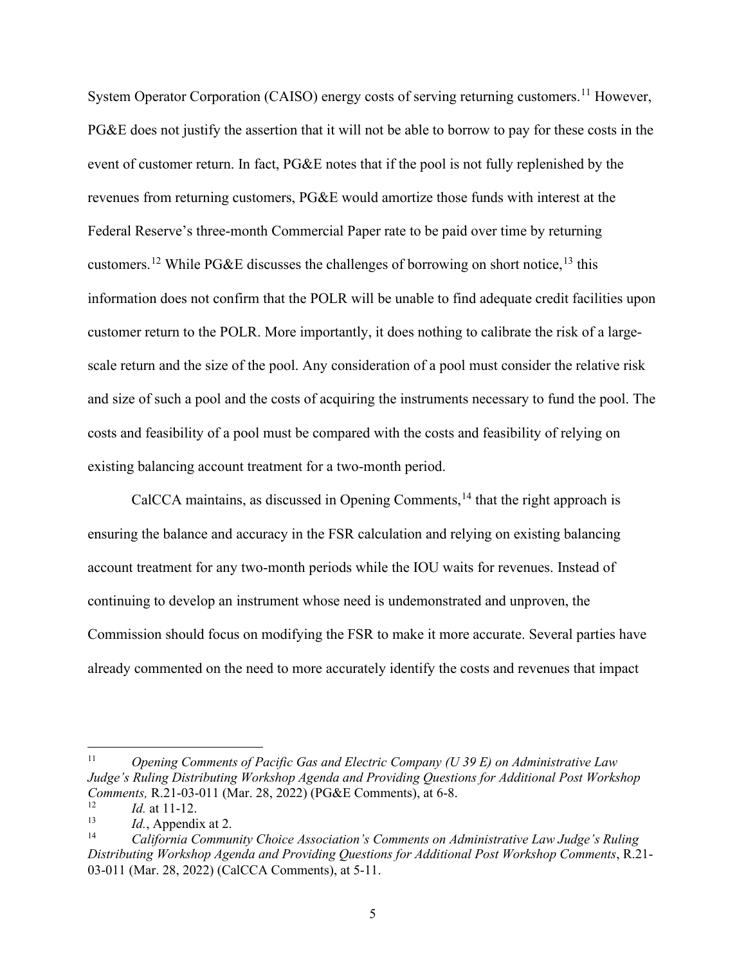System Operator Corporation (CAISO) energy costs of serving returning customers.<sup>[11](#page-7-0)</sup> However, PG&E does not justify the assertion that it will not be able to borrow to pay for these costs in the event of customer return. In fact, PG&E notes that if the pool is not fully replenished by the revenues from returning customers, PG&E would amortize those funds with interest at the Federal Reserve's three-month Commercial Paper rate to be paid over time by returning customers.<sup>[12](#page-7-1)</sup> While PG&E discusses the challenges of borrowing on short notice,<sup>[13](#page-7-2)</sup> this information does not confirm that the POLR will be unable to find adequate credit facilities upon customer return to the POLR. More importantly, it does nothing to calibrate the risk of a largescale return and the size of the pool. Any consideration of a pool must consider the relative risk and size of such a pool and the costs of acquiring the instruments necessary to fund the pool. The costs and feasibility of a pool must be compared with the costs and feasibility of relying on existing balancing account treatment for a two-month period.

 $CalCCA$  maintains, as discussed in Opening Comments,<sup>[14](#page-7-3)</sup> that the right approach is ensuring the balance and accuracy in the FSR calculation and relying on existing balancing account treatment for any two-month periods while the IOU waits for revenues. Instead of continuing to develop an instrument whose need is undemonstrated and unproven, the Commission should focus on modifying the FSR to make it more accurate. Several parties have already commented on the need to more accurately identify the costs and revenues that impact

<span id="page-7-0"></span><sup>11</sup> *Opening Comments of Pacific Gas and Electric Company (U 39 E) on Administrative Law Judge's Ruling Distributing Workshop Agenda and Providing Questions for Additional Post Workshop Comments,* R.21-03-011 (Mar. 28, 2022) (PG&E Comments), at 6-8.

<span id="page-7-1"></span> $\frac{12}{13}$  *Id.* at 11-12.

<span id="page-7-2"></span><sup>&</sup>lt;sup>13</sup> *Id.*, Appendix at 2.<br><sup>14</sup> *California Communi* 

<span id="page-7-3"></span><sup>14</sup> *California Community Choice Association's Comments on Administrative Law Judge's Ruling Distributing Workshop Agenda and Providing Questions for Additional Post Workshop Comments*, R.21- 03-011 (Mar. 28, 2022) (CalCCA Comments), at 5-11.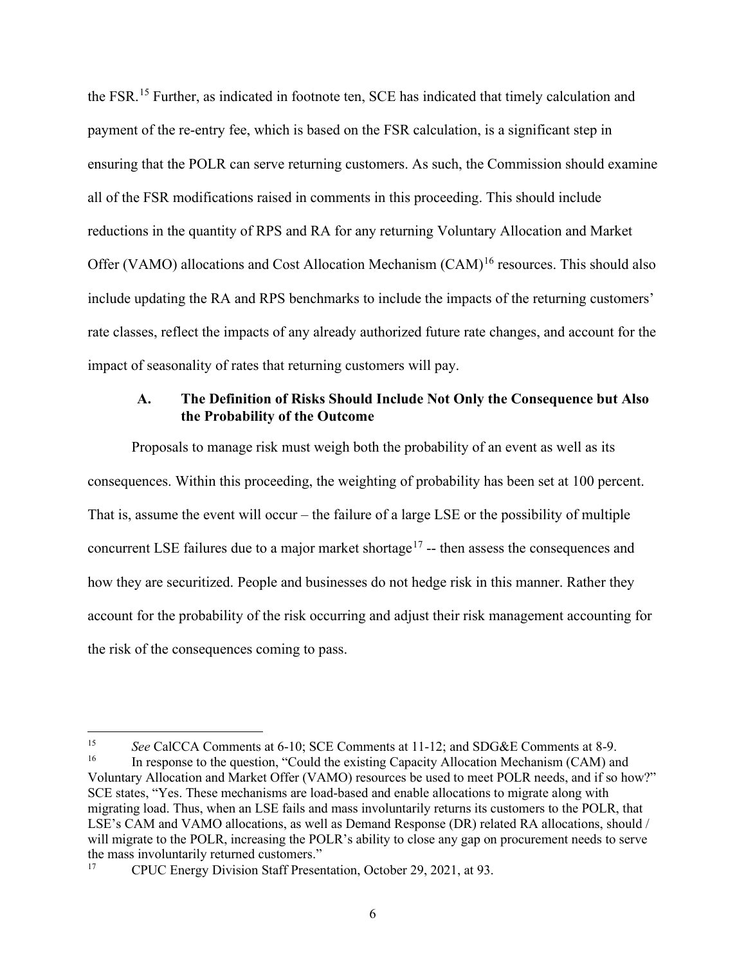the FSR.<sup>15</sup> Further, as indicated in footnote ten, SCE has indicated that timely calculation and payment of the re-entry fee, which is based on the FSR calculation, is a significant step in ensuring that the POLR can serve returning customers. As such, the Commission should examine all of the FSR modifications raised in comments in this proceeding. This should include reductions in the quantity of RPS and RA for any returning Voluntary Allocation and Market Offer (VAMO) allocations and Cost Allocation Mechanism (CAM)<sup>[16](#page-8-2)</sup> resources. This should also include updating the RA and RPS benchmarks to include the impacts of the returning customers' rate classes, reflect the impacts of any already authorized future rate changes, and account for the impact of seasonality of rates that returning customers will pay.

#### <span id="page-8-0"></span>**A. The Definition of Risks Should Include Not Only the Consequence but Also the Probability of the Outcome**

Proposals to manage risk must weigh both the probability of an event as well as its consequences. Within this proceeding, the weighting of probability has been set at 100 percent. That is, assume the event will occur – the failure of a large LSE or the possibility of multiple concurrent LSE failures due to a major market shortage<sup>[17](#page-8-3)</sup> -- then assess the consequences and how they are securitized. People and businesses do not hedge risk in this manner. Rather they account for the probability of the risk occurring and adjust their risk management accounting for the risk of the consequences coming to pass.

<span id="page-8-2"></span><span id="page-8-1"></span><sup>&</sup>lt;sup>15</sup> *See* CalCCA Comments at 6-10; SCE Comments at 11-12; and SDG&E Comments at 8-9.<br><sup>16</sup> In response to the question "Could the existing Capacity Allocation Mechanism (CAM) and 16 In response to the question, "Could the existing Capacity Allocation Mechanism (CAM) and Voluntary Allocation and Market Offer (VAMO) resources be used to meet POLR needs, and if so how?" SCE states, "Yes. These mechanisms are load-based and enable allocations to migrate along with migrating load. Thus, when an LSE fails and mass involuntarily returns its customers to the POLR, that LSE's CAM and VAMO allocations, as well as Demand Response (DR) related RA allocations, should / will migrate to the POLR, increasing the POLR's ability to close any gap on procurement needs to serve the mass involuntarily returned customers."

<span id="page-8-3"></span><sup>17</sup> CPUC Energy Division Staff Presentation, October 29, 2021, at 93.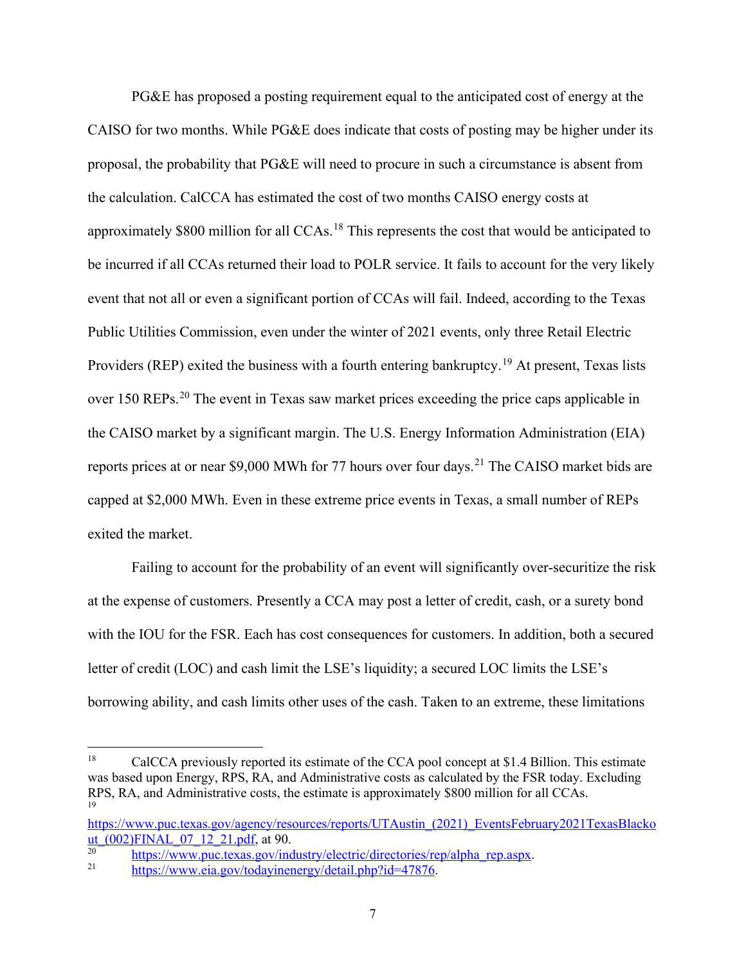PG&E has proposed a posting requirement equal to the anticipated cost of energy at the CAISO for two months. While PG&E does indicate that costs of posting may be higher under its proposal, the probability that PG&E will need to procure in such a circumstance is absent from the calculation. CalCCA has estimated the cost of two months CAISO energy costs at approximately \$800 million for all CCAs.<sup>[18](#page-9-0)</sup> This represents the cost that would be anticipated to be incurred if all CCAs returned their load to POLR service. It fails to account for the very likely event that not all or even a significant portion of CCAs will fail. Indeed, according to the Texas Public Utilities Commission, even under the winter of 2021 events, only three Retail Electric Providers (REP) exited the business with a fourth entering bankruptcy.<sup>[19](#page-9-1)</sup> At present, Texas lists over 150 REPs.<sup>[20](#page-9-2)</sup> The event in Texas saw market prices exceeding the price caps applicable in the CAISO market by a significant margin. The U.S. Energy Information Administration (EIA) reports prices at or near \$9,000 MWh for 77 hours over four days.<sup>[21](#page-9-3)</sup> The CAISO market bids are capped at \$2,000 MWh. Even in these extreme price events in Texas, a small number of REPs exited the market.

Failing to account for the probability of an event will significantly over-securitize the risk at the expense of customers. Presently a CCA may post a letter of credit, cash, or a surety bond with the IOU for the FSR. Each has cost consequences for customers. In addition, both a secured letter of credit (LOC) and cash limit the LSE's liquidity; a secured LOC limits the LSE's borrowing ability, and cash limits other uses of the cash. Taken to an extreme, these limitations

<span id="page-9-0"></span><sup>&</sup>lt;sup>18</sup> CalCCA previously reported its estimate of the CCA pool concept at \$1.4 Billion. This estimate was based upon Energy, RPS, RA, and Administrative costs as calculated by the FSR today. Excluding RPS, RA, and Administrative costs, the estimate is approximately \$800 million for all CCAs. 19

<span id="page-9-1"></span>[https://www.puc.texas.gov/agency/resources/reports/UTAustin\\_\(2021\)\\_EventsFebruary2021TexasBlacko](https://www.puc.texas.gov/agency/resources/reports/UTAustin_(2021)_EventsFebruary2021TexasBlackout_(002)FINAL_07_12_21.pdf)<br>ut (002)FINAL 07 12 21.pdf, at 90.

<span id="page-9-2"></span><sup>&</sup>lt;sup>20</sup><br>[https://www.puc.texas.gov/industry/electric/directories/rep/alpha\\_rep.aspx.](https://www.puc.texas.gov/industry/electric/directories/rep/alpha_rep.aspx)<br>[https://www.eia.gov/todayinenergy/detail.php?id=47876.](https://www.eia.gov/todayinenergy/detail.php?id=47876)

<span id="page-9-3"></span>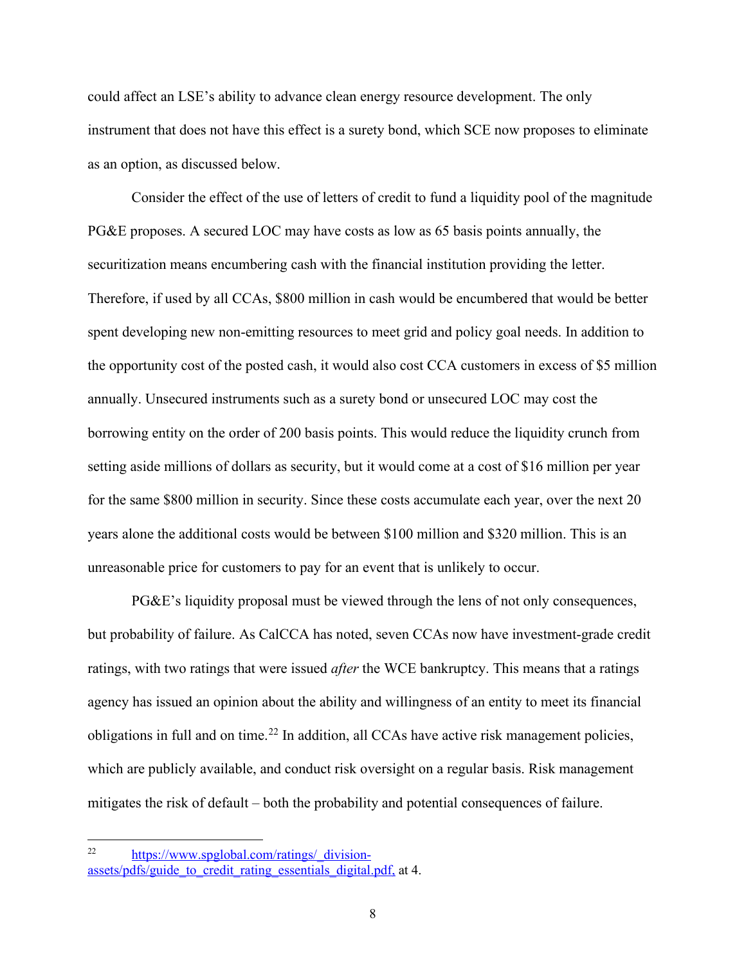could affect an LSE's ability to advance clean energy resource development. The only instrument that does not have this effect is a surety bond, which SCE now proposes to eliminate as an option, as discussed below.

Consider the effect of the use of letters of credit to fund a liquidity pool of the magnitude PG&E proposes. A secured LOC may have costs as low as 65 basis points annually, the securitization means encumbering cash with the financial institution providing the letter. Therefore, if used by all CCAs, \$800 million in cash would be encumbered that would be better spent developing new non-emitting resources to meet grid and policy goal needs. In addition to the opportunity cost of the posted cash, it would also cost CCA customers in excess of \$5 million annually. Unsecured instruments such as a surety bond or unsecured LOC may cost the borrowing entity on the order of 200 basis points. This would reduce the liquidity crunch from setting aside millions of dollars as security, but it would come at a cost of \$16 million per year for the same \$800 million in security. Since these costs accumulate each year, over the next 20 years alone the additional costs would be between \$100 million and \$320 million. This is an unreasonable price for customers to pay for an event that is unlikely to occur.

PG&E's liquidity proposal must be viewed through the lens of not only consequences, but probability of failure. As CalCCA has noted, seven CCAs now have investment-grade credit ratings, with two ratings that were issued *after* the WCE bankruptcy. This means that a ratings agency has issued an opinion about the ability and willingness of an entity to meet its financial obligations in full and on time.<sup>[22](#page-10-0)</sup> In addition, all CCAs have active risk management policies, which are publicly available, and conduct risk oversight on a regular basis. Risk management mitigates the risk of default – both the probability and potential consequences of failure.

<span id="page-10-0"></span><sup>22</sup> [https://www.spglobal.com/ratings/\\_division](https://www.spglobal.com/ratings/_division-assets/pdfs/guide_to_credit_rating_essentials_digital.pdf)[assets/pdfs/guide\\_to\\_credit\\_rating\\_essentials\\_digital.pdf,](https://www.spglobal.com/ratings/_division-assets/pdfs/guide_to_credit_rating_essentials_digital.pdf) at 4.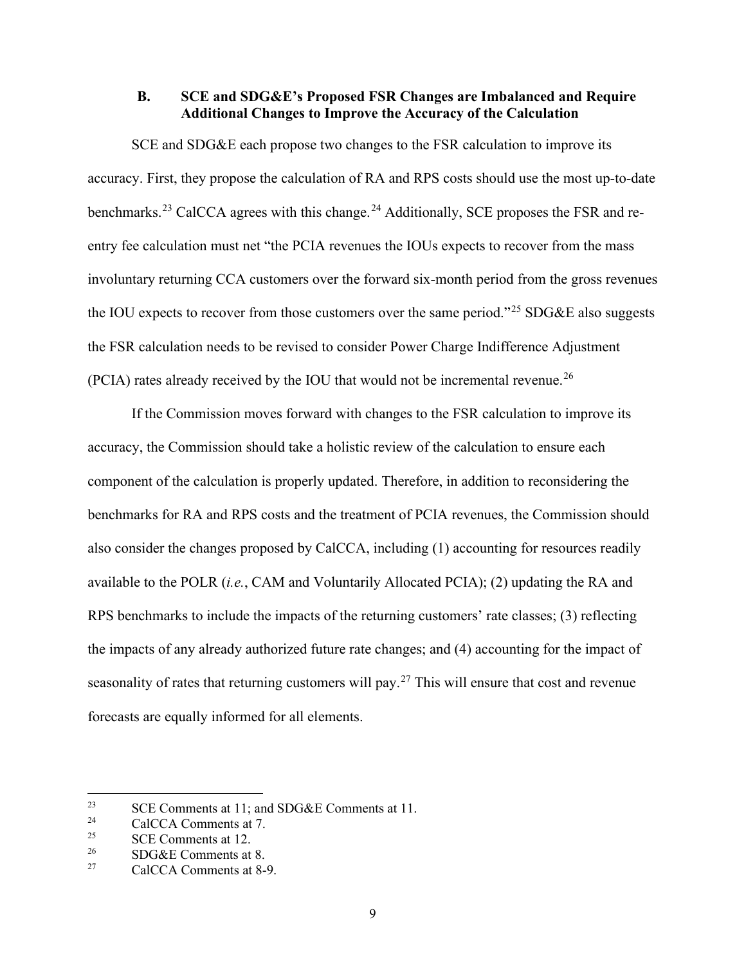#### <span id="page-11-0"></span>**B. SCE and SDG&E's Proposed FSR Changes are Imbalanced and Require Additional Changes to Improve the Accuracy of the Calculation**

SCE and SDG&E each propose two changes to the FSR calculation to improve its accuracy. First, they propose the calculation of RA and RPS costs should use the most up-to-date benchmarks.<sup>[23](#page-11-1)</sup> CalCCA agrees with this change.<sup>24</sup> Additionally, SCE proposes the FSR and reentry fee calculation must net "the PCIA revenues the IOUs expects to recover from the mass involuntary returning CCA customers over the forward six-month period from the gross revenues the IOU expects to recover from those customers over the same period."<sup>[25](#page-11-3)</sup> SDG&E also suggests the FSR calculation needs to be revised to consider Power Charge Indifference Adjustment (PCIA) rates already received by the IOU that would not be incremental revenue.<sup>26</sup>

If the Commission moves forward with changes to the FSR calculation to improve its accuracy, the Commission should take a holistic review of the calculation to ensure each component of the calculation is properly updated. Therefore, in addition to reconsidering the benchmarks for RA and RPS costs and the treatment of PCIA revenues, the Commission should also consider the changes proposed by CalCCA, including (1) accounting for resources readily available to the POLR (*i.e.*, CAM and Voluntarily Allocated PCIA); (2) updating the RA and RPS benchmarks to include the impacts of the returning customers' rate classes; (3) reflecting the impacts of any already authorized future rate changes; and (4) accounting for the impact of seasonality of rates that returning customers will pay.<sup>[27](#page-11-5)</sup> This will ensure that cost and revenue forecasts are equally informed for all elements.

<span id="page-11-1"></span><sup>&</sup>lt;sup>23</sup> SCE Comments at 11; and SDG&E Comments at 11.<br><sup>24</sup> CalCCA Comments at 7

<span id="page-11-2"></span> $2^2$  CalCCA Comments at 7.<br>
SCE Comments at 12

<span id="page-11-3"></span><sup>&</sup>lt;sup>25</sup> SCE Comments at 12.<br><sup>26</sup> SDG&E Comments at

<span id="page-11-4"></span><sup>&</sup>lt;sup>26</sup> SDG&E Comments at 8.<br><sup>27</sup> CelCCA Comments at 9.

<span id="page-11-5"></span>CalCCA Comments at 8-9.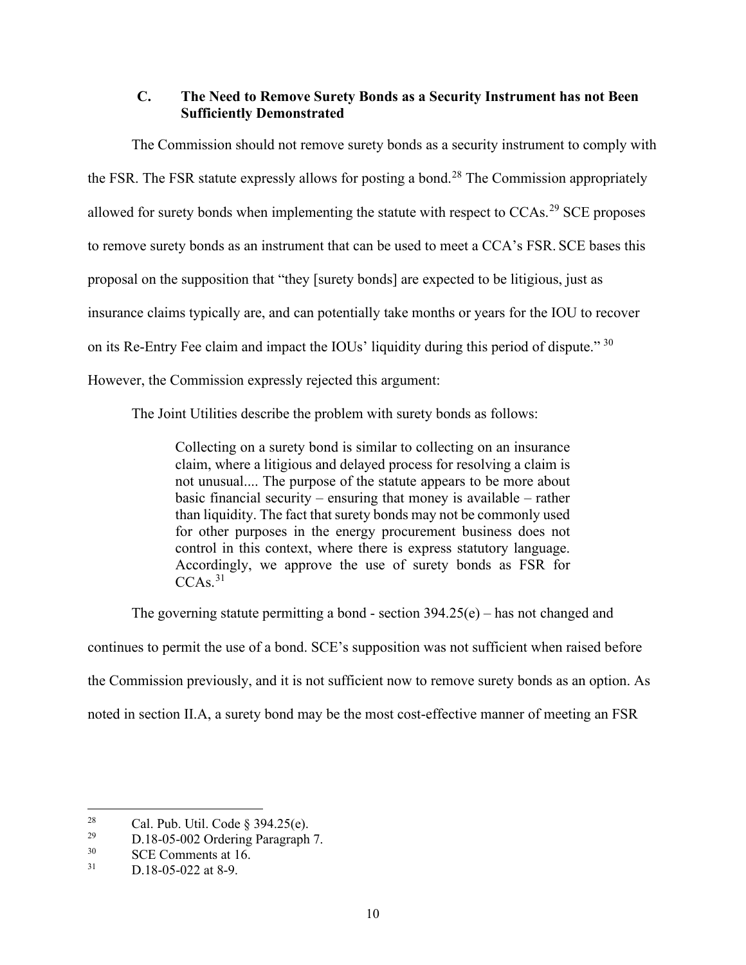## <span id="page-12-0"></span>**C. The Need to Remove Surety Bonds as a Security Instrument has not Been Sufficiently Demonstrated**

The Commission should not remove surety bonds as a security instrument to comply with the FSR. The FSR statute expressly allows for posting a bond.<sup>[28](#page-12-1)</sup> The Commission appropriately allowed for surety bonds when implementing the statute with respect to  $CCAs.<sup>29</sup> SCE proposes$  $CCAs.<sup>29</sup> SCE proposes$  $CCAs.<sup>29</sup> SCE proposes$ to remove surety bonds as an instrument that can be used to meet a CCA's FSR. SCE bases this proposal on the supposition that "they [surety bonds] are expected to be litigious, just as insurance claims typically are, and can potentially take months or years for the IOU to recover on its Re-Entry Fee claim and impact the IOUs' liquidity during this period of dispute."<sup>[30](#page-12-3)</sup> However, the Commission expressly rejected this argument:

The Joint Utilities describe the problem with surety bonds as follows:

Collecting on a surety bond is similar to collecting on an insurance claim, where a litigious and delayed process for resolving a claim is not unusual.... The purpose of the statute appears to be more about basic financial security – ensuring that money is available – rather than liquidity. The fact that surety bonds may not be commonly used for other purposes in the energy procurement business does not control in this context, where there is express statutory language. Accordingly, we approve the use of surety bonds as FSR for  $CCAs.<sup>31</sup>$  $CCAs.<sup>31</sup>$  $CCAs.<sup>31</sup>$ 

The governing statute permitting a bond - section 394.25(e) – has not changed and continues to permit the use of a bond. SCE's supposition was not sufficient when raised before the Commission previously, and it is not sufficient now to remove surety bonds as an option. As noted in section II.A, a surety bond may be the most cost-effective manner of meeting an FSR

<span id="page-12-1"></span><sup>&</sup>lt;sup>28</sup> Cal. Pub. Util. Code § 394.25(e).<br>
D. 18.05.002 Ordering Baragraph

<span id="page-12-2"></span><sup>&</sup>lt;sup>29</sup> D.18-05-002 Ordering Paragraph 7.<br><sup>30</sup> SCE Comments at 16

<span id="page-12-4"></span><span id="page-12-3"></span> $\frac{30}{31}$  SCE Comments at 16.<br>D 18.05.022 at 8.0

D.18-05-022 at 8-9.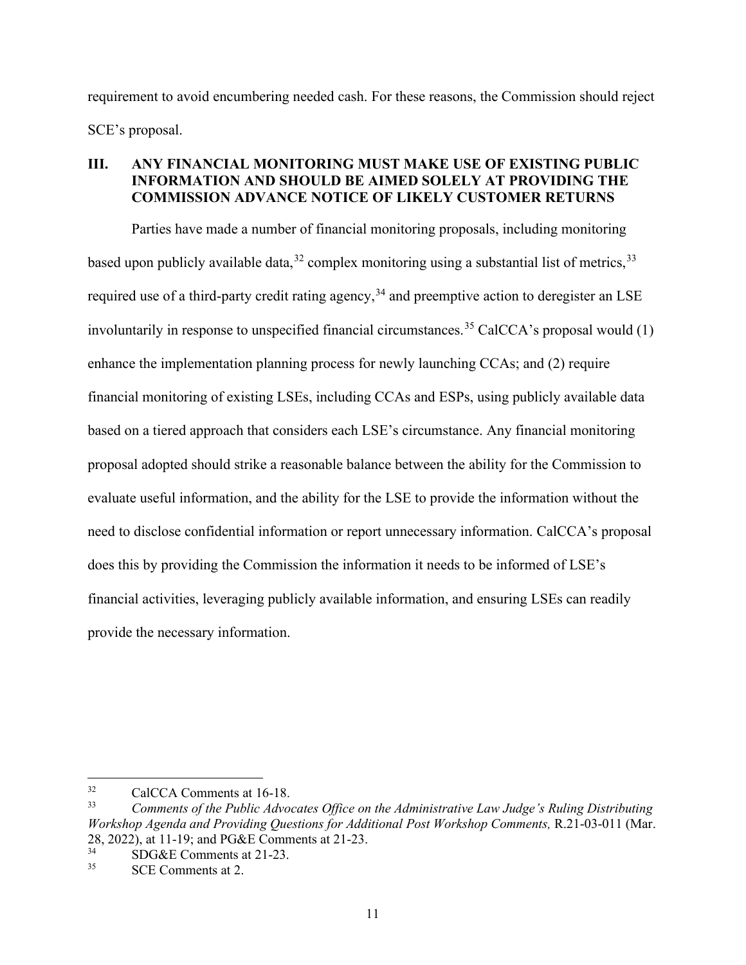requirement to avoid encumbering needed cash. For these reasons, the Commission should reject SCE's proposal.

## <span id="page-13-0"></span>**III. ANY FINANCIAL MONITORING MUST MAKE USE OF EXISTING PUBLIC INFORMATION AND SHOULD BE AIMED SOLELY AT PROVIDING THE COMMISSION ADVANCE NOTICE OF LIKELY CUSTOMER RETURNS**

Parties have made a number of financial monitoring proposals, including monitoring based upon publicly available data,  $32$  complex monitoring using a substantial list of metrics,  $33$ required use of a third-party credit rating agency,  $34$  and preemptive action to deregister an LSE involuntarily in response to unspecified financial circumstances. [35](#page-13-4) CalCCA's proposal would (1) enhance the implementation planning process for newly launching CCAs; and (2) require financial monitoring of existing LSEs, including CCAs and ESPs, using publicly available data based on a tiered approach that considers each LSE's circumstance. Any financial monitoring proposal adopted should strike a reasonable balance between the ability for the Commission to evaluate useful information, and the ability for the LSE to provide the information without the need to disclose confidential information or report unnecessary information. CalCCA's proposal does this by providing the Commission the information it needs to be informed of LSE's financial activities, leveraging publicly available information, and ensuring LSEs can readily provide the necessary information.

<span id="page-13-2"></span><span id="page-13-1"></span><sup>32</sup> CalCCA Comments at 16-18. 33 *Comments of the Public Advocates Office on the Administrative Law Judge's Ruling Distributing Workshop Agenda and Providing Questions for Additional Post Workshop Comments,* R.21-03-011 (Mar. 28, 2022), at 11-19; and PG&E Comments at 21-23.<br> $^{34}$  SDG&E Comments at 21-23

<span id="page-13-4"></span><span id="page-13-3"></span> $34$  SDG&E Comments at 21-23.<br>35 SCE Comments at 2.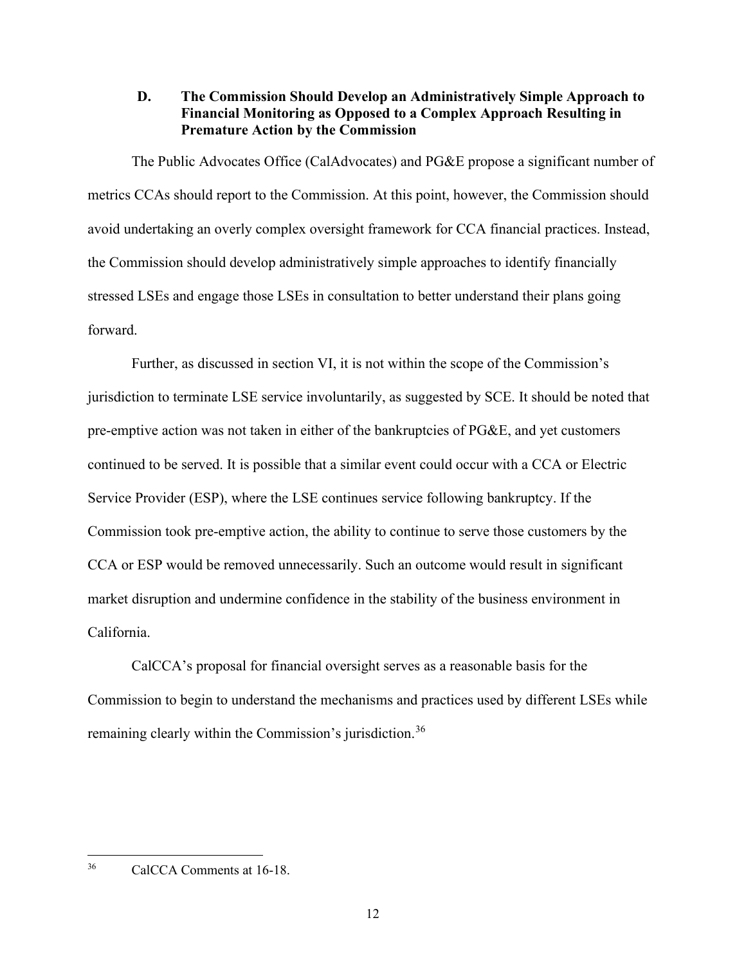<span id="page-14-0"></span>**D. The Commission Should Develop an Administratively Simple Approach to Financial Monitoring as Opposed to a Complex Approach Resulting in Premature Action by the Commission** 

The Public Advocates Office (CalAdvocates) and PG&E propose a significant number of metrics CCAs should report to the Commission. At this point, however, the Commission should avoid undertaking an overly complex oversight framework for CCA financial practices. Instead, the Commission should develop administratively simple approaches to identify financially stressed LSEs and engage those LSEs in consultation to better understand their plans going forward.

Further, as discussed in section VI, it is not within the scope of the Commission's jurisdiction to terminate LSE service involuntarily, as suggested by SCE. It should be noted that pre-emptive action was not taken in either of the bankruptcies of PG&E, and yet customers continued to be served. It is possible that a similar event could occur with a CCA or Electric Service Provider (ESP), where the LSE continues service following bankruptcy. If the Commission took pre-emptive action, the ability to continue to serve those customers by the CCA or ESP would be removed unnecessarily. Such an outcome would result in significant market disruption and undermine confidence in the stability of the business environment in California.

CalCCA's proposal for financial oversight serves as a reasonable basis for the Commission to begin to understand the mechanisms and practices used by different LSEs while remaining clearly within the Commission's jurisdiction.<sup>[36](#page-14-1)</sup>

<span id="page-14-1"></span>36 CalCCA Comments at 16-18.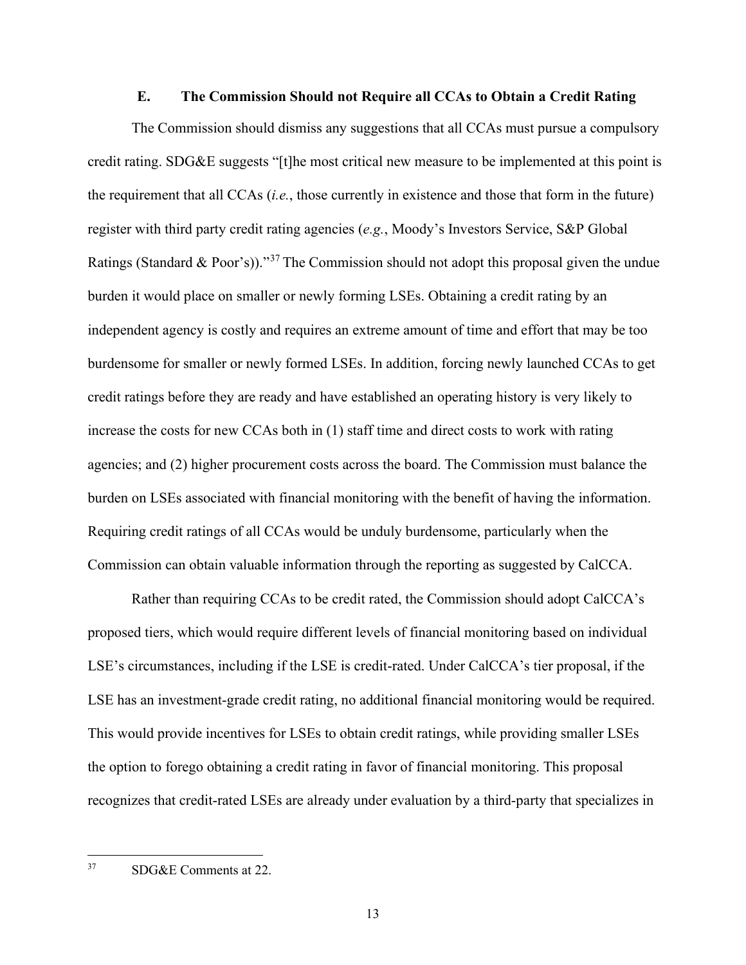#### **E. The Commission Should not Require all CCAs to Obtain a Credit Rating**

<span id="page-15-0"></span>The Commission should dismiss any suggestions that all CCAs must pursue a compulsory credit rating. SDG&E suggests "[t]he most critical new measure to be implemented at this point is the requirement that all CCAs (*i.e.*, those currently in existence and those that form in the future) register with third party credit rating agencies (*e.g.*, Moody's Investors Service, S&P Global Ratings (Standard & Poor's))."<sup>[37](#page-15-1)</sup> The Commission should not adopt this proposal given the undue burden it would place on smaller or newly forming LSEs. Obtaining a credit rating by an independent agency is costly and requires an extreme amount of time and effort that may be too burdensome for smaller or newly formed LSEs. In addition, forcing newly launched CCAs to get credit ratings before they are ready and have established an operating history is very likely to increase the costs for new CCAs both in (1) staff time and direct costs to work with rating agencies; and (2) higher procurement costs across the board. The Commission must balance the burden on LSEs associated with financial monitoring with the benefit of having the information. Requiring credit ratings of all CCAs would be unduly burdensome, particularly when the Commission can obtain valuable information through the reporting as suggested by CalCCA.

Rather than requiring CCAs to be credit rated, the Commission should adopt CalCCA's proposed tiers, which would require different levels of financial monitoring based on individual LSE's circumstances, including if the LSE is credit-rated. Under CalCCA's tier proposal, if the LSE has an investment-grade credit rating, no additional financial monitoring would be required. This would provide incentives for LSEs to obtain credit ratings, while providing smaller LSEs the option to forego obtaining a credit rating in favor of financial monitoring. This proposal recognizes that credit-rated LSEs are already under evaluation by a third-party that specializes in

<span id="page-15-1"></span>37 SDG&E Comments at 22.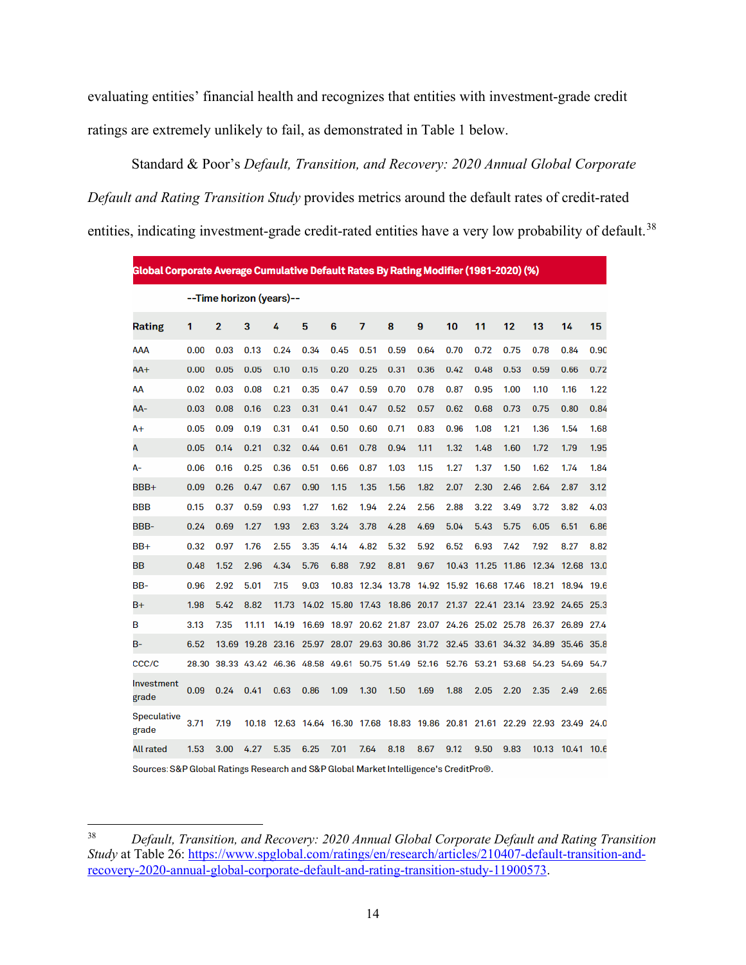evaluating entities' financial health and recognizes that entities with investment-grade credit ratings are extremely unlikely to fail, as demonstrated in Table 1 below.

Standard & Poor's *Default, Transition, and Recovery: 2020 Annual Global Corporate Default and Rating Transition Study* provides metrics around the default rates of credit-rated entities, indicating investment-grade credit-rated entities have a very low probability of default.<sup>[38](#page-16-0)</sup>

| Global Corporate Average Cumulative Default Rates By Rating Modifier (1981-2020) (%) |                |       |       |             |                          |      |       |             |      |      |             |       |      |                                                                                                                                                                                                                                                                                                                                                                                                                 |
|--------------------------------------------------------------------------------------|----------------|-------|-------|-------------|--------------------------|------|-------|-------------|------|------|-------------|-------|------|-----------------------------------------------------------------------------------------------------------------------------------------------------------------------------------------------------------------------------------------------------------------------------------------------------------------------------------------------------------------------------------------------------------------|
|                                                                                      |                |       |       |             |                          |      |       |             |      |      |             |       |      |                                                                                                                                                                                                                                                                                                                                                                                                                 |
| 1                                                                                    | $\overline{2}$ | 3     | 4     | 5           | 6                        | 7    | 8     | 9           | 10   | 11   | 12          | 13    | 14   | 15                                                                                                                                                                                                                                                                                                                                                                                                              |
| 0.00                                                                                 | 0.03           | 0.13  | 0.24  | 0.34        | 0.45                     | 0.51 | 0.59  | 0.64        | 0.70 | 0.72 | 0.75        | 0.78  | 0.84 | 0.90                                                                                                                                                                                                                                                                                                                                                                                                            |
| 0.00                                                                                 | 0.05           | 0.05  | 0.10  | 0.15        | 0.20                     | 0.25 | 0.31  | 0.36        | 0.42 | 0.48 | 0.53        | 0.59  | 0.66 | 0.72                                                                                                                                                                                                                                                                                                                                                                                                            |
| 0.02                                                                                 | 0.03           | 0.08  | 0.21  | 0.35        | 0.47                     | 0.59 | 0.70  | 0.78        | 0.87 | 0.95 | 1.00        | 1.10  | 1.16 | 1.22                                                                                                                                                                                                                                                                                                                                                                                                            |
| 0.03                                                                                 | 0.08           | 0.16  | 0.23  | 0.31        | 0.41                     | 0.47 | 0.52  | 0.57        | 0.62 | 0.68 | 0.73        | 0.75  | 0.80 | 0.84                                                                                                                                                                                                                                                                                                                                                                                                            |
| 0.05                                                                                 | 0.09           | 0.19  | 0.31  | 0.41        | 0.50                     | 0.60 | 0.71  | 0.83        | 0.96 | 1.08 | 1.21        | 1.36  | 1.54 | 1.68                                                                                                                                                                                                                                                                                                                                                                                                            |
| 0.05                                                                                 | 0.14           | 0.21  | 0.32  | 0.44        | 0.61                     | 0.78 | 0.94  | 1.11        | 1.32 | 1.48 | 1.60        | 1.72  | 1.79 | 1.95                                                                                                                                                                                                                                                                                                                                                                                                            |
| 0.06                                                                                 | 0.16           | 0.25  | 0.36  | 0.51        | 0.66                     | 0.87 | 1.03  | 1.15        | 1.27 | 1.37 | 1.50        | 1.62  | 1.74 | 1.84                                                                                                                                                                                                                                                                                                                                                                                                            |
| 0.09                                                                                 | 0.26           | 0.47  | 0.67  | 0.90        | 1.15                     | 1.35 | 1.56  | 1.82        | 2.07 | 2.30 | 2.46        | 2.64  | 2.87 | 3.12                                                                                                                                                                                                                                                                                                                                                                                                            |
| 0.15                                                                                 | 0.37           | 0.59  | 0.93  | 1.27        | 1.62                     | 1.94 | 2.24  | 2.56        | 2.88 | 3.22 | 3.49        | 3.72  | 3.82 | 4.03                                                                                                                                                                                                                                                                                                                                                                                                            |
| 0.24                                                                                 | 0.69           | 1.27  | 1.93  | 2.63        | 3.24                     | 3.78 | 4.28  | 4.69        | 5.04 | 5.43 | 5.75        | 6.05  | 6.51 | 6.86                                                                                                                                                                                                                                                                                                                                                                                                            |
| 0.32                                                                                 | 0.97           | 1.76  | 2.55  | 3.35        | 4.14                     | 4.82 | 5.32  | 5.92        | 6.52 | 6.93 | 7.42        | 7.92  | 8.27 | 8.82                                                                                                                                                                                                                                                                                                                                                                                                            |
| 0.48                                                                                 | 1.52           | 2.96  | 4.34  | 5.76        | 6.88                     | 7.92 | 8.81  | 9.67        |      |      |             |       |      |                                                                                                                                                                                                                                                                                                                                                                                                                 |
| 0.96                                                                                 | 2.92           | 5.01  | 7.15  | 9.03        | 10.83                    |      |       |             |      |      |             |       |      |                                                                                                                                                                                                                                                                                                                                                                                                                 |
| 1.98                                                                                 | 5.42           | 8.82  | 11.73 | 14.02       |                          |      |       |             |      |      |             |       |      |                                                                                                                                                                                                                                                                                                                                                                                                                 |
| 3.13                                                                                 | 7.35           | 11.11 | 14.19 |             |                          |      |       |             |      |      |             |       |      |                                                                                                                                                                                                                                                                                                                                                                                                                 |
| 6.52                                                                                 | 13.69          |       |       |             |                          |      |       |             |      |      |             |       |      | 35.8                                                                                                                                                                                                                                                                                                                                                                                                            |
| 28.30                                                                                |                |       |       |             |                          |      |       |             |      |      |             |       |      | 54.7                                                                                                                                                                                                                                                                                                                                                                                                            |
| 0.09                                                                                 | 0.24           | 0.41  | 0.63  | 0.86        | 1.09                     | 1.30 | 1.50  | 1.69        | 1.88 | 2.05 | 2.20        | 2.35  | 2.49 | 2.65                                                                                                                                                                                                                                                                                                                                                                                                            |
| 3.71                                                                                 | 7.19           | 10.18 | 12.63 | 14.64       | 16.30                    |      |       |             |      |      |             |       |      | 24.0                                                                                                                                                                                                                                                                                                                                                                                                            |
| 1.53                                                                                 | 3.00           | 4.27  | 5.35  | 6.25        | 7.01                     | 7.64 | 8.18  | 8.67        | 9.12 | 9.50 | 9.83        | 10.13 |      |                                                                                                                                                                                                                                                                                                                                                                                                                 |
|                                                                                      |                |       |       | 19.28 23.16 | --Time horizon (years)-- |      | 17.68 | 12.34 13.78 |      |      | 10.43 11.25 |       |      | 11.86 12.34 12.68 13.0<br>14.92 15.92 16.68 17.46 18.21 18.94 19.6<br>15.80 17.43 18.86 20.17 21.37 22.41 23.14 23.92 24.65 25.3<br>16.69 18.97 20.62 21.87 23.07 24.26 25.02 25.78 26.37 26.89 27.4<br>25.97 28.07 29.63 30.86 31.72 32.45 33.61 34.32 34.89 35.46<br>38.33 43.42 46.36 48.58 49.61 50.75 51.49 52.16 52.76 53.21 53.68 54.23 54.69<br>18.83 19.86 20.81 21.61 22.29 22.93 23.49<br>10.41 10.6 |

Sources: S&P Global Ratings Research and S&P Global Market Intelligence's CreditPro®.

<span id="page-16-0"></span><sup>38</sup> *Default, Transition, and Recovery: 2020 Annual Global Corporate Default and Rating Transition Study* at Table 26: [https://www.spglobal.com/ratings/en/research/articles/210407-default-transition-and](https://www.spglobal.com/ratings/en/research/articles/210407-default-transition-and-recovery-2020-annual-global-corporate-default-and-rating-transition-study-11900573)[recovery-2020-annual-global-corporate-default-and-rating-transition-study-11900573.](https://www.spglobal.com/ratings/en/research/articles/210407-default-transition-and-recovery-2020-annual-global-corporate-default-and-rating-transition-study-11900573)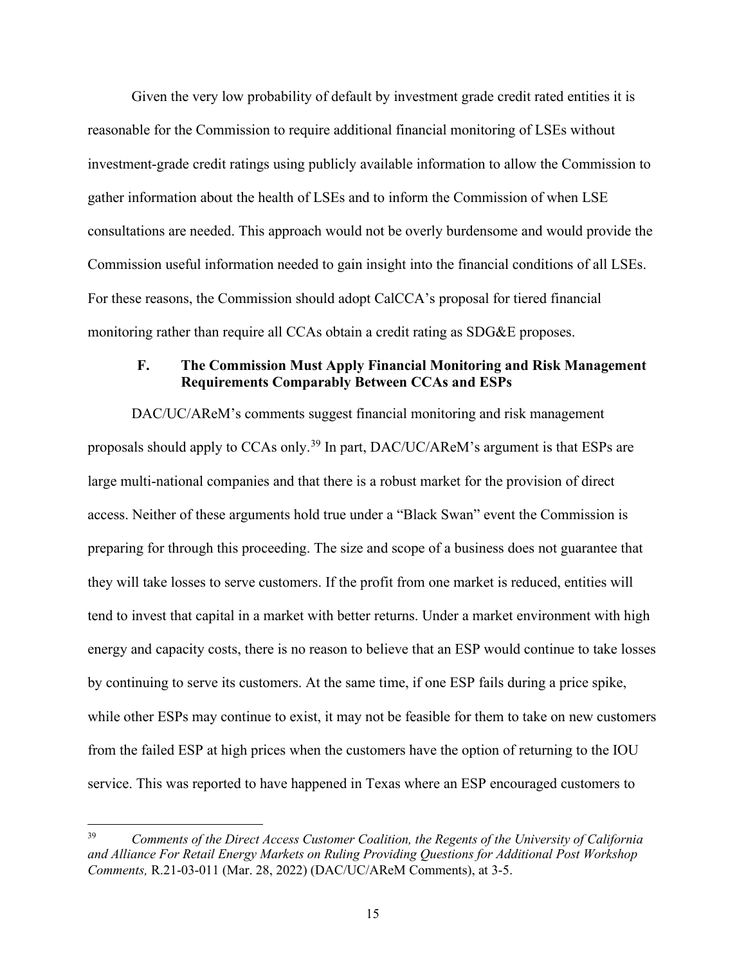Given the very low probability of default by investment grade credit rated entities it is reasonable for the Commission to require additional financial monitoring of LSEs without investment-grade credit ratings using publicly available information to allow the Commission to gather information about the health of LSEs and to inform the Commission of when LSE consultations are needed. This approach would not be overly burdensome and would provide the Commission useful information needed to gain insight into the financial conditions of all LSEs. For these reasons, the Commission should adopt CalCCA's proposal for tiered financial monitoring rather than require all CCAs obtain a credit rating as SDG&E proposes.

#### **F. The Commission Must Apply Financial Monitoring and Risk Management Requirements Comparably Between CCAs and ESPs**

<span id="page-17-0"></span>DAC/UC/AReM's comments suggest financial monitoring and risk management proposals should apply to CCAs only.<sup>[39](#page-17-1)</sup> In part, DAC/UC/AReM's argument is that ESPs are large multi-national companies and that there is a robust market for the provision of direct access. Neither of these arguments hold true under a "Black Swan" event the Commission is preparing for through this proceeding. The size and scope of a business does not guarantee that they will take losses to serve customers. If the profit from one market is reduced, entities will tend to invest that capital in a market with better returns. Under a market environment with high energy and capacity costs, there is no reason to believe that an ESP would continue to take losses by continuing to serve its customers. At the same time, if one ESP fails during a price spike, while other ESPs may continue to exist, it may not be feasible for them to take on new customers from the failed ESP at high prices when the customers have the option of returning to the IOU service. This was reported to have happened in Texas where an ESP encouraged customers to

<span id="page-17-1"></span><sup>39</sup> *Comments of the Direct Access Customer Coalition, the Regents of the University of California and Alliance For Retail Energy Markets on Ruling Providing Questions for Additional Post Workshop Comments,* R.21-03-011 (Mar. 28, 2022) (DAC/UC/AReM Comments), at 3-5.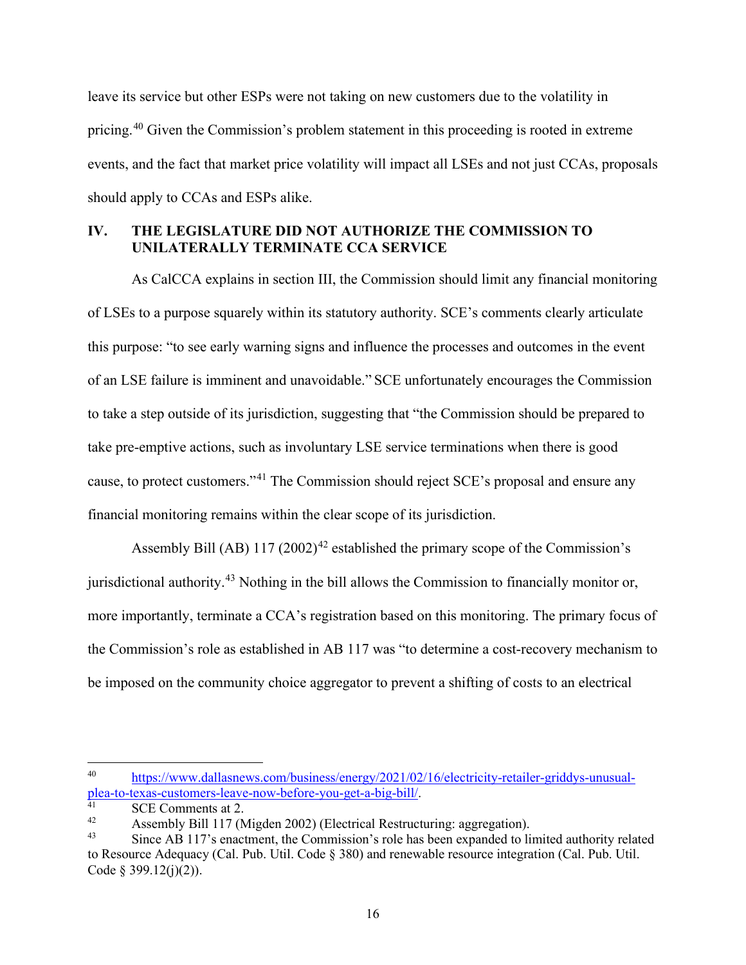leave its service but other ESPs were not taking on new customers due to the volatility in pricing.<sup>40</sup> Given the Commission's problem statement in this proceeding is rooted in extreme events, and the fact that market price volatility will impact all LSEs and not just CCAs, proposals should apply to CCAs and ESPs alike.

## <span id="page-18-0"></span>**IV. THE LEGISLATURE DID NOT AUTHORIZE THE COMMISSION TO UNILATERALLY TERMINATE CCA SERVICE**

As CalCCA explains in section III, the Commission should limit any financial monitoring of LSEs to a purpose squarely within its statutory authority. SCE's comments clearly articulate this purpose: "to see early warning signs and influence the processes and outcomes in the event of an LSE failure is imminent and unavoidable." SCE unfortunately encourages the Commission to take a step outside of its jurisdiction, suggesting that "the Commission should be prepared to take pre-emptive actions, such as involuntary LSE service terminations when there is good cause, to protect customers."[41](#page-18-2) The Commission should reject SCE's proposal and ensure any financial monitoring remains within the clear scope of its jurisdiction.

Assembly Bill (AB)  $117 (2002)^{42}$  $117 (2002)^{42}$  $117 (2002)^{42}$  established the primary scope of the Commission's jurisdictional authority.<sup>[43](#page-18-4)</sup> Nothing in the bill allows the Commission to financially monitor or, more importantly, terminate a CCA's registration based on this monitoring. The primary focus of the Commission's role as established in AB 117 was "to determine a cost-recovery mechanism to be imposed on the community choice aggregator to prevent a shifting of costs to an electrical

<span id="page-18-1"></span><sup>40</sup> [https://www.dallasnews.com/business/energy/2021/02/16/electricity-retailer-griddys-unusual](https://www.dallasnews.com/business/energy/2021/02/16/electricity-retailer-griddys-unusual-plea-to-texas-customers-leave-now-before-you-get-a-big-bill/)[plea-to-texas-customers-leave-now-before-you-get-a-big-bill/.](https://www.dallasnews.com/business/energy/2021/02/16/electricity-retailer-griddys-unusual-plea-to-texas-customers-leave-now-before-you-get-a-big-bill/)<br>
<sup>41</sup> SCE Comments at 2.<br>
Assembly Bill 117 (Mioden 2002) (Electrical Restruct

<span id="page-18-2"></span>

<span id="page-18-3"></span><sup>&</sup>lt;sup>42</sup> Assembly Bill 117 (Migden 2002) (Electrical Restructuring: aggregation).<br><sup>43</sup> Since AB 117's enactment, the Commission's role has been expanded to li

<span id="page-18-4"></span>Since AB 117's enactment, the Commission's role has been expanded to limited authority related to Resource Adequacy (Cal. Pub. Util. Code § 380) and renewable resource integration (Cal. Pub. Util. Code  $\S$  399.12(j)(2)).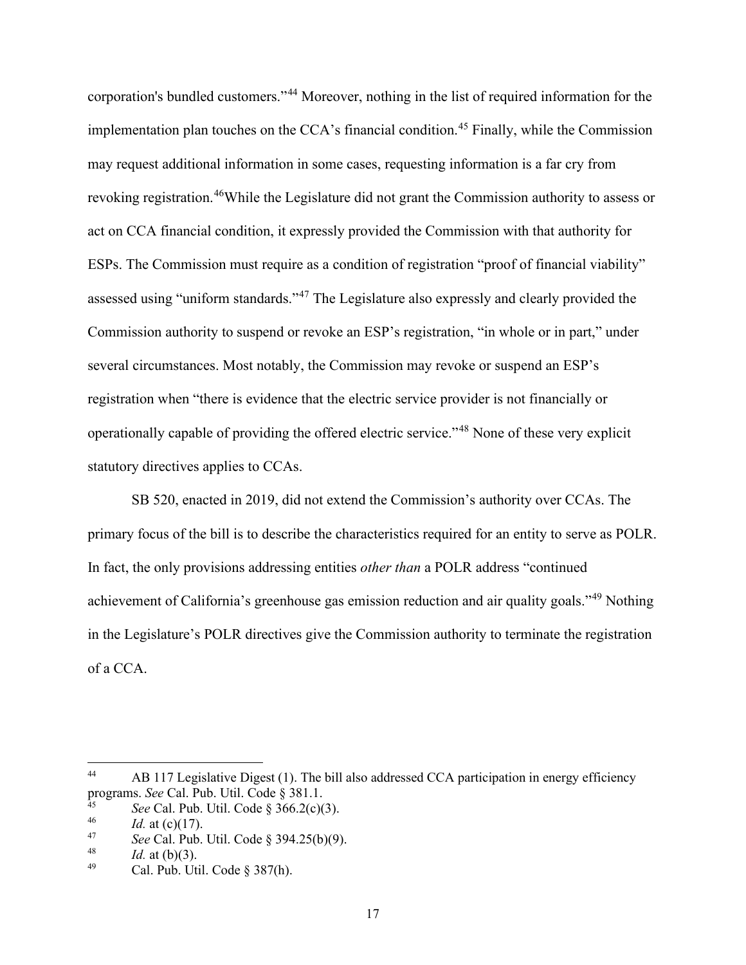corporation's bundled customers."[44](#page-19-0) Moreover, nothing in the list of required information for the implementation plan touches on the CCA's financial condition.<sup>[45](#page-19-1)</sup> Finally, while the Commission may request additional information in some cases, requesting information is a far cry from revoking registration.<sup>46</sup>While the Legislature did not grant the Commission authority to assess or act on CCA financial condition, it expressly provided the Commission with that authority for ESPs. The Commission must require as a condition of registration "proof of financial viability" assessed using "uniform standards."[47](#page-19-3) The Legislature also expressly and clearly provided the Commission authority to suspend or revoke an ESP's registration, "in whole or in part," under several circumstances. Most notably, the Commission may revoke or suspend an ESP's registration when "there is evidence that the electric service provider is not financially or operationally capable of providing the offered electric service."[48](#page-19-4) None of these very explicit statutory directives applies to CCAs.

SB 520, enacted in 2019, did not extend the Commission's authority over CCAs. The primary focus of the bill is to describe the characteristics required for an entity to serve as POLR. In fact, the only provisions addressing entities *other than* a POLR address "continued achievement of California's greenhouse gas emission reduction and air quality goals."[49](#page-19-5) Nothing in the Legislature's POLR directives give the Commission authority to terminate the registration of a CCA.

<span id="page-19-0"></span><sup>&</sup>lt;sup>44</sup> AB 117 Legislative Digest (1). The bill also addressed CCA participation in energy efficiency programs. *See* Cal. Pub. Util. Code § 381.1.

<span id="page-19-1"></span><sup>&</sup>lt;sup>45</sup> *See* Cal. Pub. Util. Code § 366.2(c)(3).

<span id="page-19-3"></span><span id="page-19-2"></span><sup>46</sup> *Id.* at (c)(17).<br>
47 *See* Cal. Pub. Util. Code § 394.25(b)(9).<br>
48 *Id.* at (b)(3).<br>
Cal. Pub. Util. Code § 387(h).

<span id="page-19-4"></span>

<span id="page-19-5"></span>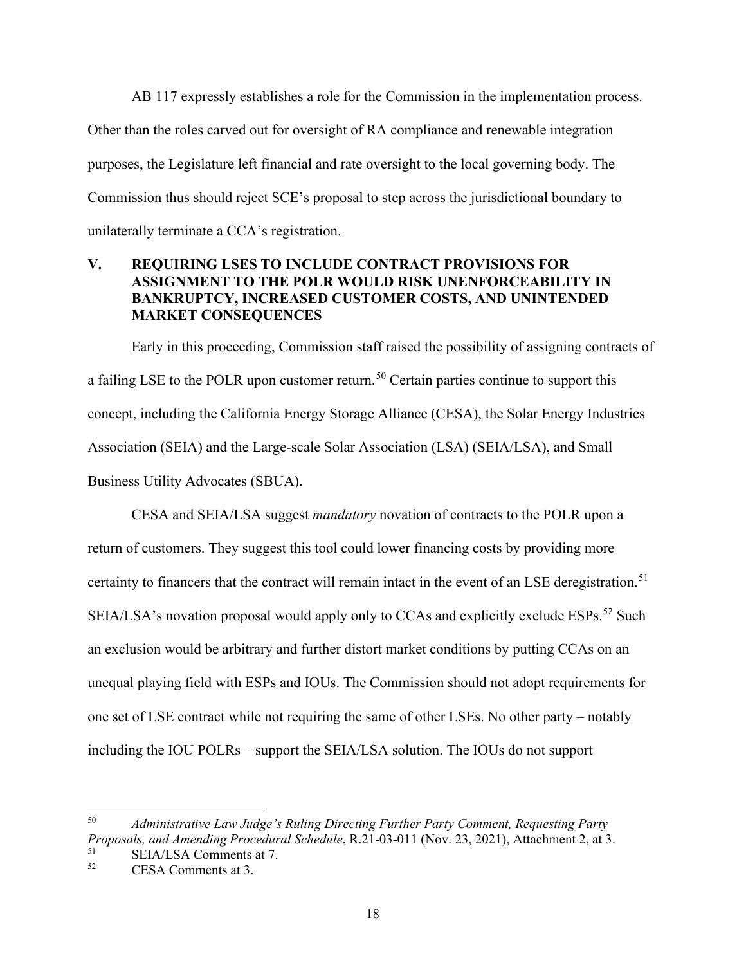AB 117 expressly establishes a role for the Commission in the implementation process. Other than the roles carved out for oversight of RA compliance and renewable integration purposes, the Legislature left financial and rate oversight to the local governing body. The Commission thus should reject SCE's proposal to step across the jurisdictional boundary to unilaterally terminate a CCA's registration.

## <span id="page-20-0"></span>**V. REQUIRING LSES TO INCLUDE CONTRACT PROVISIONS FOR ASSIGNMENT TO THE POLR WOULD RISK UNENFORCEABILITY IN BANKRUPTCY, INCREASED CUSTOMER COSTS, AND UNINTENDED MARKET CONSEQUENCES**

Early in this proceeding, Commission staff raised the possibility of assigning contracts of a failing LSE to the POLR upon customer return.<sup>50</sup> Certain parties continue to support this concept, including the California Energy Storage Alliance (CESA), the Solar Energy Industries Association (SEIA) and the Large-scale Solar Association (LSA) (SEIA/LSA), and Small Business Utility Advocates (SBUA).

CESA and SEIA/LSA suggest *mandatory* novation of contracts to the POLR upon a return of customers. They suggest this tool could lower financing costs by providing more certainty to financers that the contract will remain intact in the event of an LSE deregistration.<sup>[51](#page-20-2)</sup> SEIA/LSA's novation proposal would apply only to CCAs and explicitly exclude ESPs.<sup>[52](#page-20-3)</sup> Such an exclusion would be arbitrary and further distort market conditions by putting CCAs on an unequal playing field with ESPs and IOUs. The Commission should not adopt requirements for one set of LSE contract while not requiring the same of other LSEs. No other party – notably including the IOU POLRs – support the SEIA/LSA solution. The IOUs do not support

<span id="page-20-1"></span><sup>50</sup> *Administrative Law Judge's Ruling Directing Further Party Comment, Requesting Party Proposals, and Amending Procedural Schedule*, R.21-03-011 (Nov. 23, 2021), Attachment 2, at 3.<br>
SELA/LSA Comments at 7

<span id="page-20-3"></span><span id="page-20-2"></span> $^{51}$  SEIA/LSA Comments at 7.<br> $^{52}$  CESA Comments at 3

CESA Comments at 3.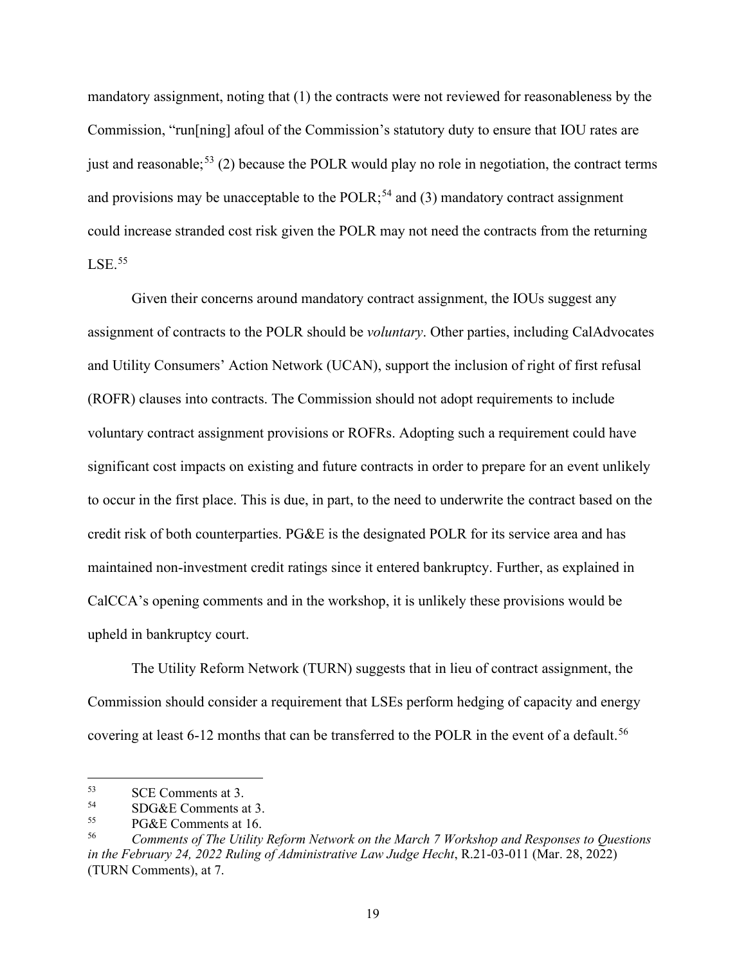mandatory assignment, noting that (1) the contracts were not reviewed for reasonableness by the Commission, "run[ning] afoul of the Commission's statutory duty to ensure that IOU rates are just and reasonable;<sup>[53](#page-21-0)</sup> (2) because the POLR would play no role in negotiation, the contract terms and provisions may be unacceptable to the POLR;<sup>54</sup> and (3) mandatory contract assignment could increase stranded cost risk given the POLR may not need the contracts from the returning  $LSE.<sup>55</sup>$  $LSE.<sup>55</sup>$  $LSE.<sup>55</sup>$ 

Given their concerns around mandatory contract assignment, the IOUs suggest any assignment of contracts to the POLR should be *voluntary*. Other parties, including CalAdvocates and Utility Consumers' Action Network (UCAN), support the inclusion of right of first refusal (ROFR) clauses into contracts. The Commission should not adopt requirements to include voluntary contract assignment provisions or ROFRs. Adopting such a requirement could have significant cost impacts on existing and future contracts in order to prepare for an event unlikely to occur in the first place. This is due, in part, to the need to underwrite the contract based on the credit risk of both counterparties. PG&E is the designated POLR for its service area and has maintained non-investment credit ratings since it entered bankruptcy. Further, as explained in CalCCA's opening comments and in the workshop, it is unlikely these provisions would be upheld in bankruptcy court.

The Utility Reform Network (TURN) suggests that in lieu of contract assignment, the Commission should consider a requirement that LSEs perform hedging of capacity and energy covering at least 6-12 months that can be transferred to the POLR in the event of a default.<sup>[56](#page-21-3)</sup>

<span id="page-21-0"></span> $SCE$  Comments at 3.<br>  $SOC<sup>2</sup>F$  Comments at 3.

<span id="page-21-1"></span> $55$  SDG&E Comments at 3.<br> $55$  DG&E Comments at 16

<span id="page-21-2"></span> $^{55}$  PG&E Comments at 16.<br> $^{56}$  Comments of The Utility

<span id="page-21-3"></span><sup>56</sup> *Comments of The Utility Reform Network on the March 7 Workshop and Responses to Questions in the February 24, 2022 Ruling of Administrative Law Judge Hecht*, R.21-03-011 (Mar. 28, 2022) (TURN Comments), at 7.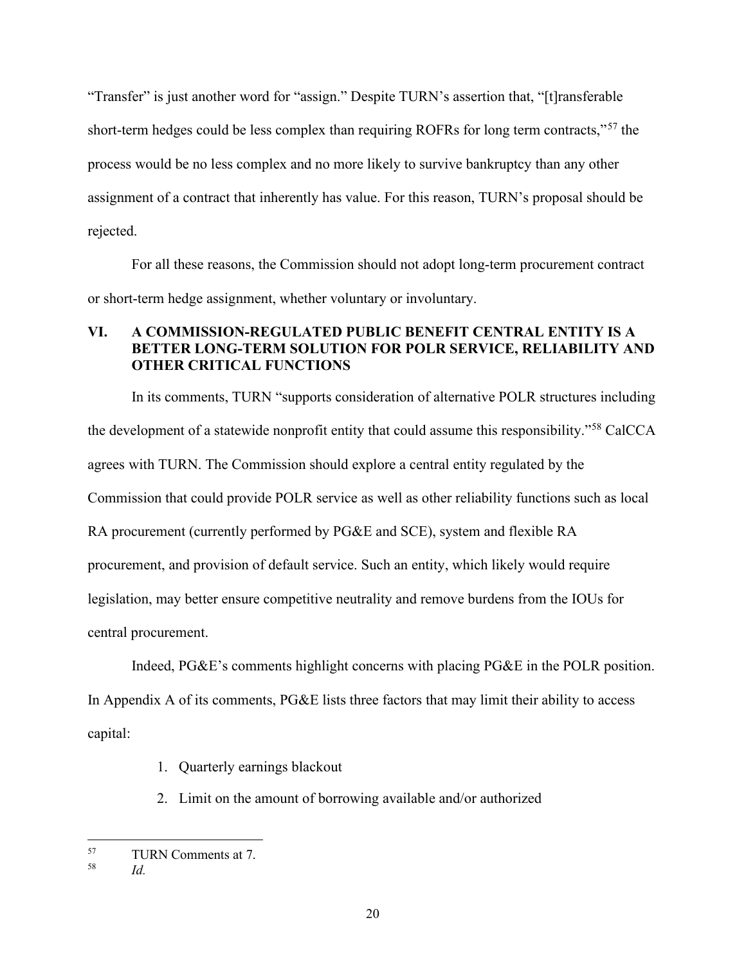"Transfer" is just another word for "assign." Despite TURN's assertion that, "[t] ransferable short-term hedges could be less complex than requiring ROFRs for long term contracts,"<sup>[57](#page-22-1)</sup> the process would be no less complex and no more likely to survive bankruptcy than any other assignment of a contract that inherently has value. For this reason, TURN's proposal should be rejected.

For all these reasons, the Commission should not adopt long-term procurement contract or short-term hedge assignment, whether voluntary or involuntary.

# <span id="page-22-0"></span>**VI. A COMMISSION-REGULATED PUBLIC BENEFIT CENTRAL ENTITY IS A BETTER LONG-TERM SOLUTION FOR POLR SERVICE, RELIABILITY AND OTHER CRITICAL FUNCTIONS**

In its comments, TURN "supports consideration of alternative POLR structures including the development of a statewide nonprofit entity that could assume this responsibility."[58](#page-22-2) CalCCA agrees with TURN. The Commission should explore a central entity regulated by the Commission that could provide POLR service as well as other reliability functions such as local RA procurement (currently performed by PG&E and SCE), system and flexible RA procurement, and provision of default service. Such an entity, which likely would require legislation, may better ensure competitive neutrality and remove burdens from the IOUs for central procurement.

Indeed, PG&E's comments highlight concerns with placing PG&E in the POLR position.

In Appendix A of its comments, PG&E lists three factors that may limit their ability to access

capital:

- 1. Quarterly earnings blackout
- 2. Limit on the amount of borrowing available and/or authorized

<span id="page-22-2"></span><span id="page-22-1"></span> $^{57}$  TURN Comments at 7.

 $Id$